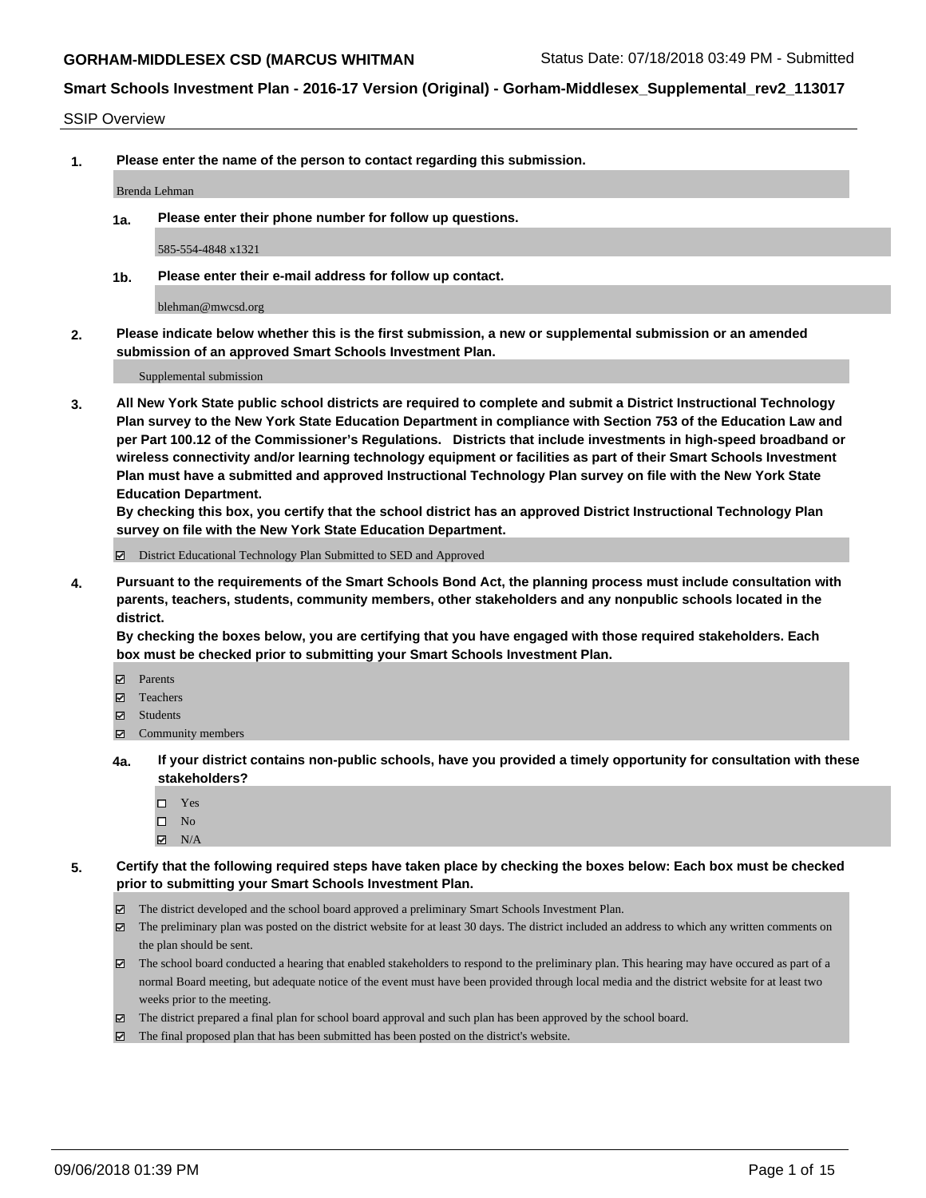SSIP Overview

**1. Please enter the name of the person to contact regarding this submission.**

Brenda Lehman

**1a. Please enter their phone number for follow up questions.**

585-554-4848 x1321

**1b. Please enter their e-mail address for follow up contact.**

blehman@mwcsd.org

**2. Please indicate below whether this is the first submission, a new or supplemental submission or an amended submission of an approved Smart Schools Investment Plan.**

Supplemental submission

**3. All New York State public school districts are required to complete and submit a District Instructional Technology Plan survey to the New York State Education Department in compliance with Section 753 of the Education Law and per Part 100.12 of the Commissioner's Regulations. Districts that include investments in high-speed broadband or wireless connectivity and/or learning technology equipment or facilities as part of their Smart Schools Investment Plan must have a submitted and approved Instructional Technology Plan survey on file with the New York State Education Department.** 

**By checking this box, you certify that the school district has an approved District Instructional Technology Plan survey on file with the New York State Education Department.**

District Educational Technology Plan Submitted to SED and Approved

**4. Pursuant to the requirements of the Smart Schools Bond Act, the planning process must include consultation with parents, teachers, students, community members, other stakeholders and any nonpublic schools located in the district.** 

**By checking the boxes below, you are certifying that you have engaged with those required stakeholders. Each box must be checked prior to submitting your Smart Schools Investment Plan.**

- **Parents**
- Teachers
- **☑** Students
- **☑** Community members
- **4a. If your district contains non-public schools, have you provided a timely opportunity for consultation with these stakeholders?**
	- □ Yes
	- $\square$  No
	- $\boxtimes$  N/A
- **5. Certify that the following required steps have taken place by checking the boxes below: Each box must be checked prior to submitting your Smart Schools Investment Plan.**
	- The district developed and the school board approved a preliminary Smart Schools Investment Plan.
	- $\boxtimes$  The preliminary plan was posted on the district website for at least 30 days. The district included an address to which any written comments on the plan should be sent.
	- The school board conducted a hearing that enabled stakeholders to respond to the preliminary plan. This hearing may have occured as part of a normal Board meeting, but adequate notice of the event must have been provided through local media and the district website for at least two weeks prior to the meeting.
	- The district prepared a final plan for school board approval and such plan has been approved by the school board.
	- The final proposed plan that has been submitted has been posted on the district's website.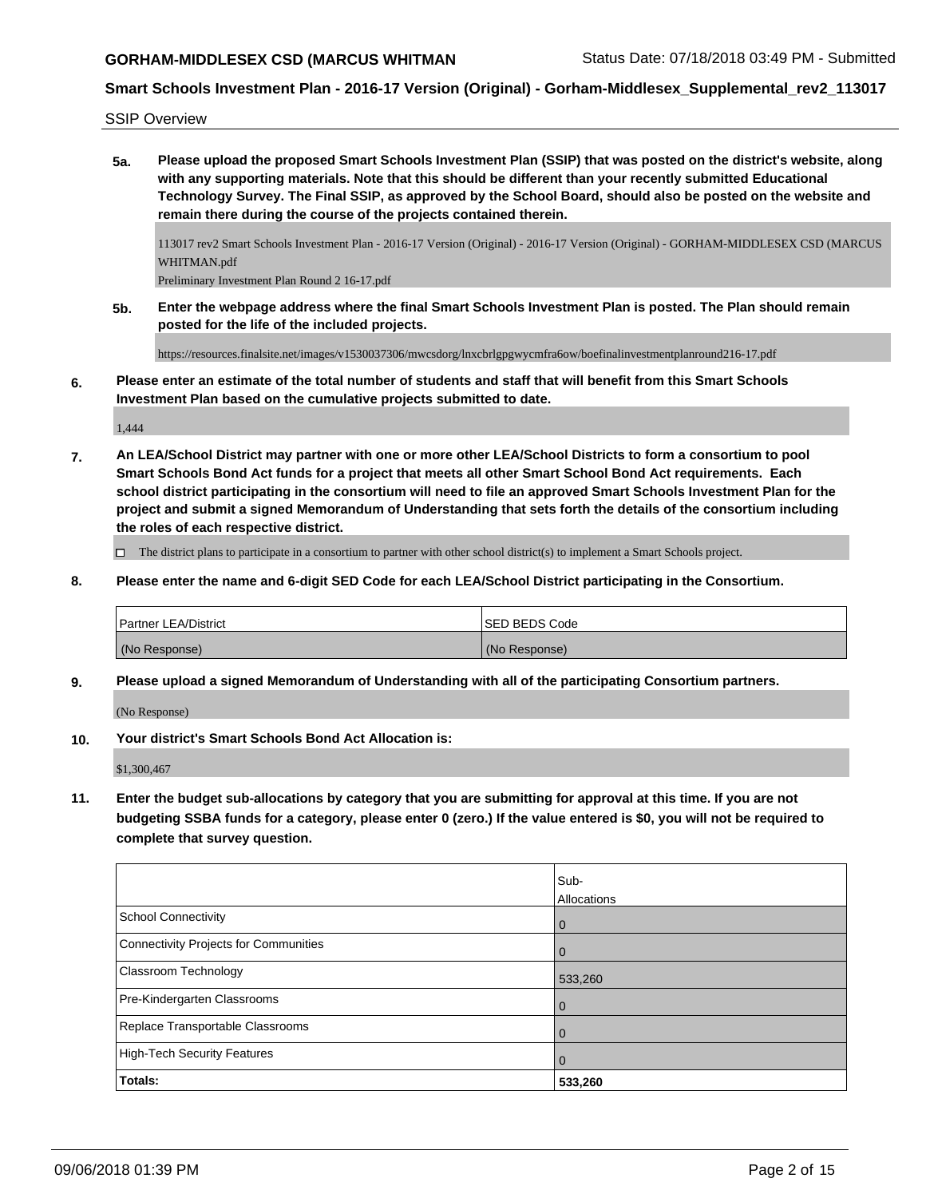# **GORHAM-MIDDLESEX CSD (MARCUS WHITMAN** Status Date: 07/18/2018 03:49 PM - Submitted

### **Smart Schools Investment Plan - 2016-17 Version (Original) - Gorham-Middlesex\_Supplemental\_rev2\_113017**

SSIP Overview

**5a. Please upload the proposed Smart Schools Investment Plan (SSIP) that was posted on the district's website, along with any supporting materials. Note that this should be different than your recently submitted Educational Technology Survey. The Final SSIP, as approved by the School Board, should also be posted on the website and remain there during the course of the projects contained therein.**

113017 rev2 Smart Schools Investment Plan - 2016-17 Version (Original) - 2016-17 Version (Original) - GORHAM-MIDDLESEX CSD (MARCUS WHITMAN.pdf

Preliminary Investment Plan Round 2 16-17.pdf

**5b. Enter the webpage address where the final Smart Schools Investment Plan is posted. The Plan should remain posted for the life of the included projects.**

https://resources.finalsite.net/images/v1530037306/mwcsdorg/lnxcbrlgpgwycmfra6ow/boefinalinvestmentplanround216-17.pdf

**6. Please enter an estimate of the total number of students and staff that will benefit from this Smart Schools Investment Plan based on the cumulative projects submitted to date.**

1,444

**7. An LEA/School District may partner with one or more other LEA/School Districts to form a consortium to pool Smart Schools Bond Act funds for a project that meets all other Smart School Bond Act requirements. Each school district participating in the consortium will need to file an approved Smart Schools Investment Plan for the project and submit a signed Memorandum of Understanding that sets forth the details of the consortium including the roles of each respective district.**

The district plans to participate in a consortium to partner with other school district(s) to implement a Smart Schools project.

**8. Please enter the name and 6-digit SED Code for each LEA/School District participating in the Consortium.**

| Partner LEA/District | ISED BEDS Code |
|----------------------|----------------|
| (No Response)        | (No Response)  |

**9. Please upload a signed Memorandum of Understanding with all of the participating Consortium partners.**

(No Response)

**10. Your district's Smart Schools Bond Act Allocation is:**

\$1,300,467

**11. Enter the budget sub-allocations by category that you are submitting for approval at this time. If you are not budgeting SSBA funds for a category, please enter 0 (zero.) If the value entered is \$0, you will not be required to complete that survey question.**

|                                       | Sub-           |
|---------------------------------------|----------------|
|                                       | Allocations    |
| School Connectivity                   | $\overline{0}$ |
| Connectivity Projects for Communities | $\overline{0}$ |
| Classroom Technology                  | 533,260        |
| Pre-Kindergarten Classrooms           | $\Omega$       |
| Replace Transportable Classrooms      | 0              |
| High-Tech Security Features           | $\mathbf 0$    |
| <b>Totals:</b>                        | 533,260        |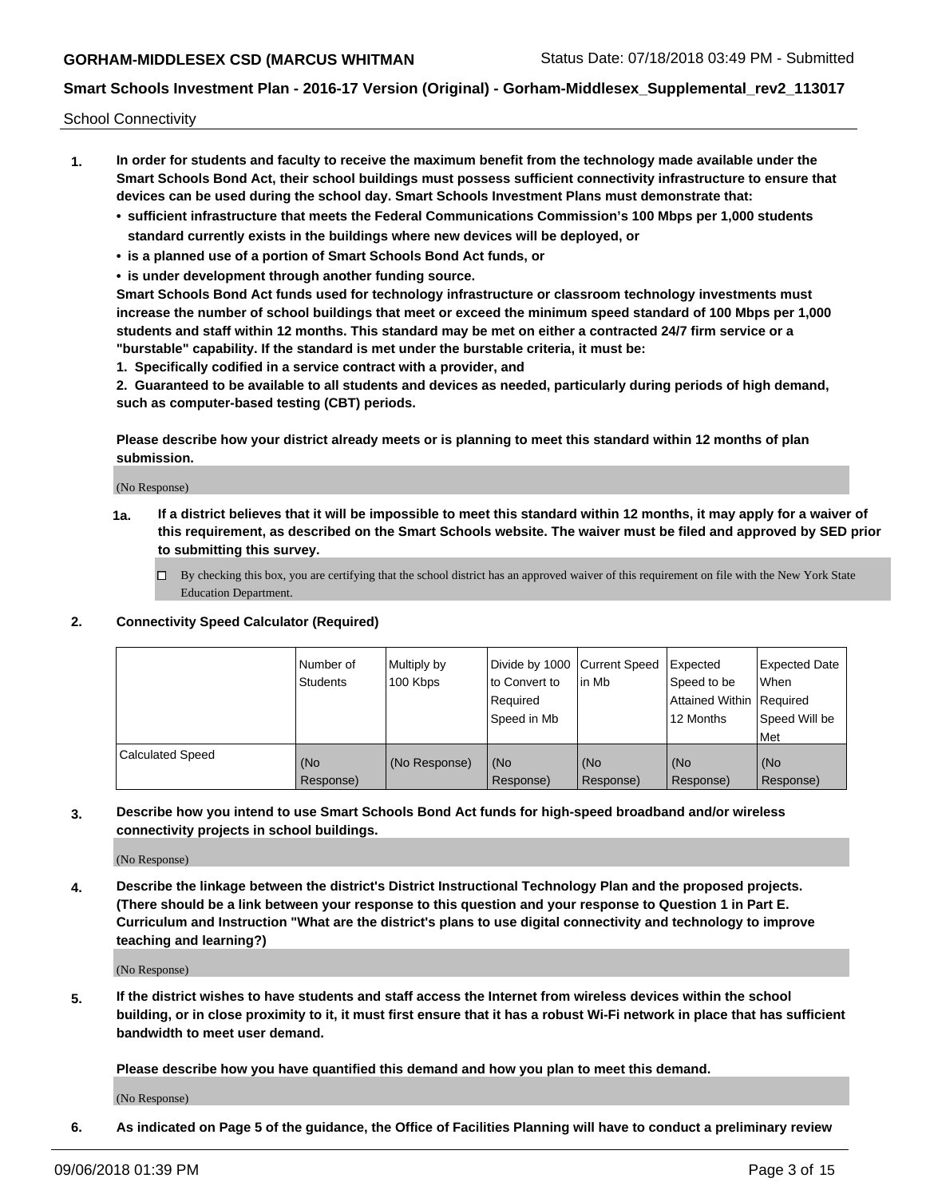School Connectivity

- **1. In order for students and faculty to receive the maximum benefit from the technology made available under the Smart Schools Bond Act, their school buildings must possess sufficient connectivity infrastructure to ensure that devices can be used during the school day. Smart Schools Investment Plans must demonstrate that:**
	- **• sufficient infrastructure that meets the Federal Communications Commission's 100 Mbps per 1,000 students standard currently exists in the buildings where new devices will be deployed, or**
	- **• is a planned use of a portion of Smart Schools Bond Act funds, or**
	- **• is under development through another funding source.**

**Smart Schools Bond Act funds used for technology infrastructure or classroom technology investments must increase the number of school buildings that meet or exceed the minimum speed standard of 100 Mbps per 1,000 students and staff within 12 months. This standard may be met on either a contracted 24/7 firm service or a "burstable" capability. If the standard is met under the burstable criteria, it must be:**

**1. Specifically codified in a service contract with a provider, and**

**2. Guaranteed to be available to all students and devices as needed, particularly during periods of high demand, such as computer-based testing (CBT) periods.**

**Please describe how your district already meets or is planning to meet this standard within 12 months of plan submission.**

(No Response)

**1a. If a district believes that it will be impossible to meet this standard within 12 months, it may apply for a waiver of this requirement, as described on the Smart Schools website. The waiver must be filed and approved by SED prior to submitting this survey.**

 $\Box$  By checking this box, you are certifying that the school district has an approved waiver of this requirement on file with the New York State Education Department.

#### **2. Connectivity Speed Calculator (Required)**

|                         | Number of<br>Students | Multiply by<br>100 Kbps | Divide by 1000 Current Speed<br>to Convert to<br>Required<br>Speed in Mb | lin Mb           | Expected<br>Speed to be<br>Attained Within   Required<br>12 Months | <b>Expected Date</b><br>When<br>Speed Will be<br><b>Met</b> |
|-------------------------|-----------------------|-------------------------|--------------------------------------------------------------------------|------------------|--------------------------------------------------------------------|-------------------------------------------------------------|
| <b>Calculated Speed</b> | (No<br>Response)      | (No Response)           | (No<br>Response)                                                         | (No<br>Response) | (No<br>Response)                                                   | (No<br>Response)                                            |

**3. Describe how you intend to use Smart Schools Bond Act funds for high-speed broadband and/or wireless connectivity projects in school buildings.**

(No Response)

**4. Describe the linkage between the district's District Instructional Technology Plan and the proposed projects. (There should be a link between your response to this question and your response to Question 1 in Part E. Curriculum and Instruction "What are the district's plans to use digital connectivity and technology to improve teaching and learning?)**

(No Response)

**5. If the district wishes to have students and staff access the Internet from wireless devices within the school building, or in close proximity to it, it must first ensure that it has a robust Wi-Fi network in place that has sufficient bandwidth to meet user demand.**

**Please describe how you have quantified this demand and how you plan to meet this demand.**

(No Response)

**6. As indicated on Page 5 of the guidance, the Office of Facilities Planning will have to conduct a preliminary review**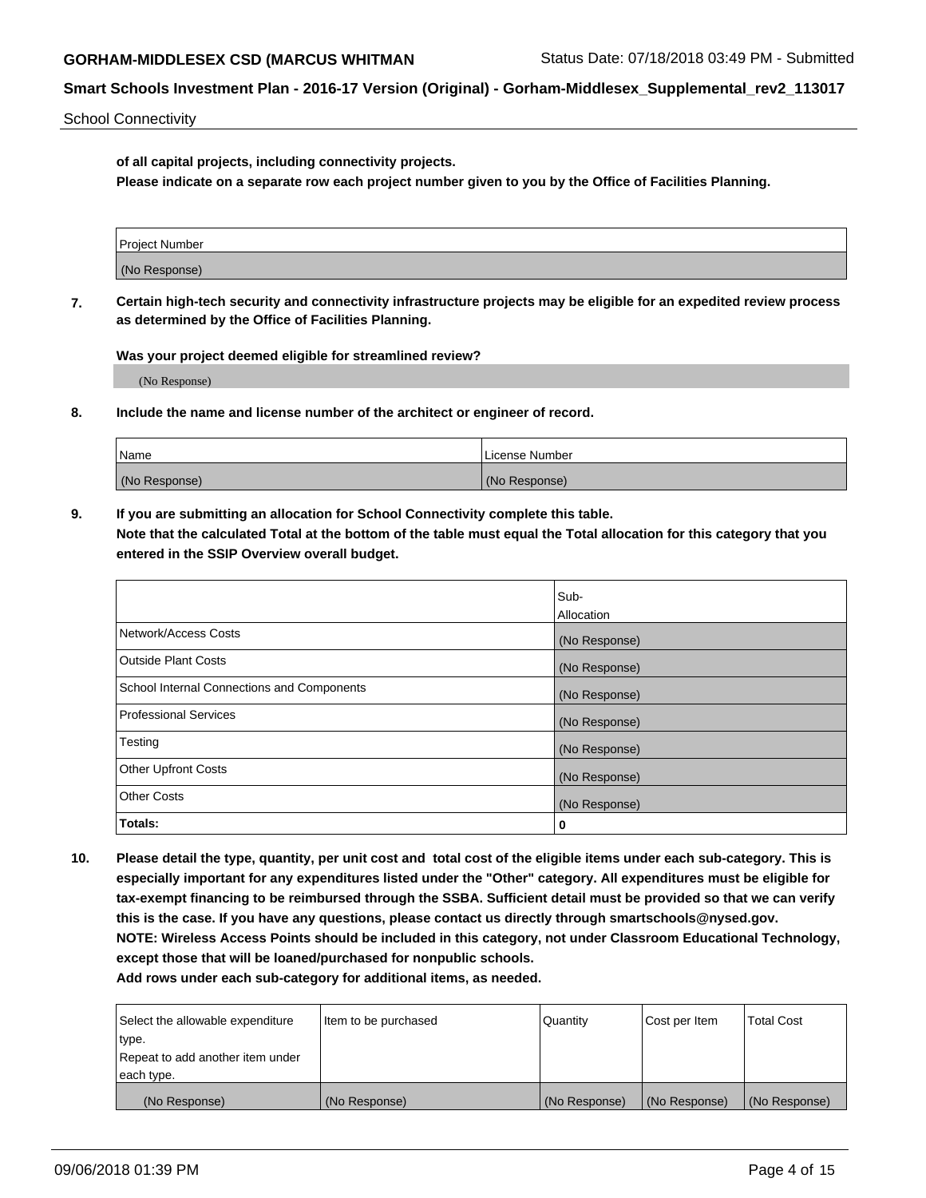School Connectivity

**of all capital projects, including connectivity projects.**

**Please indicate on a separate row each project number given to you by the Office of Facilities Planning.**

| Project Number |  |
|----------------|--|
|                |  |
| (No Response)  |  |
|                |  |

**7. Certain high-tech security and connectivity infrastructure projects may be eligible for an expedited review process as determined by the Office of Facilities Planning.**

**Was your project deemed eligible for streamlined review?**

(No Response)

**8. Include the name and license number of the architect or engineer of record.**

| Name          | License Number |
|---------------|----------------|
| (No Response) | (No Response)  |

**9. If you are submitting an allocation for School Connectivity complete this table. Note that the calculated Total at the bottom of the table must equal the Total allocation for this category that you entered in the SSIP Overview overall budget.** 

|                                            | Sub-          |
|--------------------------------------------|---------------|
|                                            | Allocation    |
| Network/Access Costs                       | (No Response) |
| Outside Plant Costs                        | (No Response) |
| School Internal Connections and Components | (No Response) |
| <b>Professional Services</b>               | (No Response) |
| Testing                                    | (No Response) |
| <b>Other Upfront Costs</b>                 | (No Response) |
| <b>Other Costs</b>                         | (No Response) |
| Totals:                                    | 0             |

**10. Please detail the type, quantity, per unit cost and total cost of the eligible items under each sub-category. This is especially important for any expenditures listed under the "Other" category. All expenditures must be eligible for tax-exempt financing to be reimbursed through the SSBA. Sufficient detail must be provided so that we can verify this is the case. If you have any questions, please contact us directly through smartschools@nysed.gov. NOTE: Wireless Access Points should be included in this category, not under Classroom Educational Technology, except those that will be loaned/purchased for nonpublic schools.**

| Select the allowable expenditure | Item to be purchased | Quantity      | <b>Cost per Item</b> | <b>Total Cost</b> |
|----------------------------------|----------------------|---------------|----------------------|-------------------|
| type.                            |                      |               |                      |                   |
| Repeat to add another item under |                      |               |                      |                   |
| each type.                       |                      |               |                      |                   |
| (No Response)                    | (No Response)        | (No Response) | (No Response)        | (No Response)     |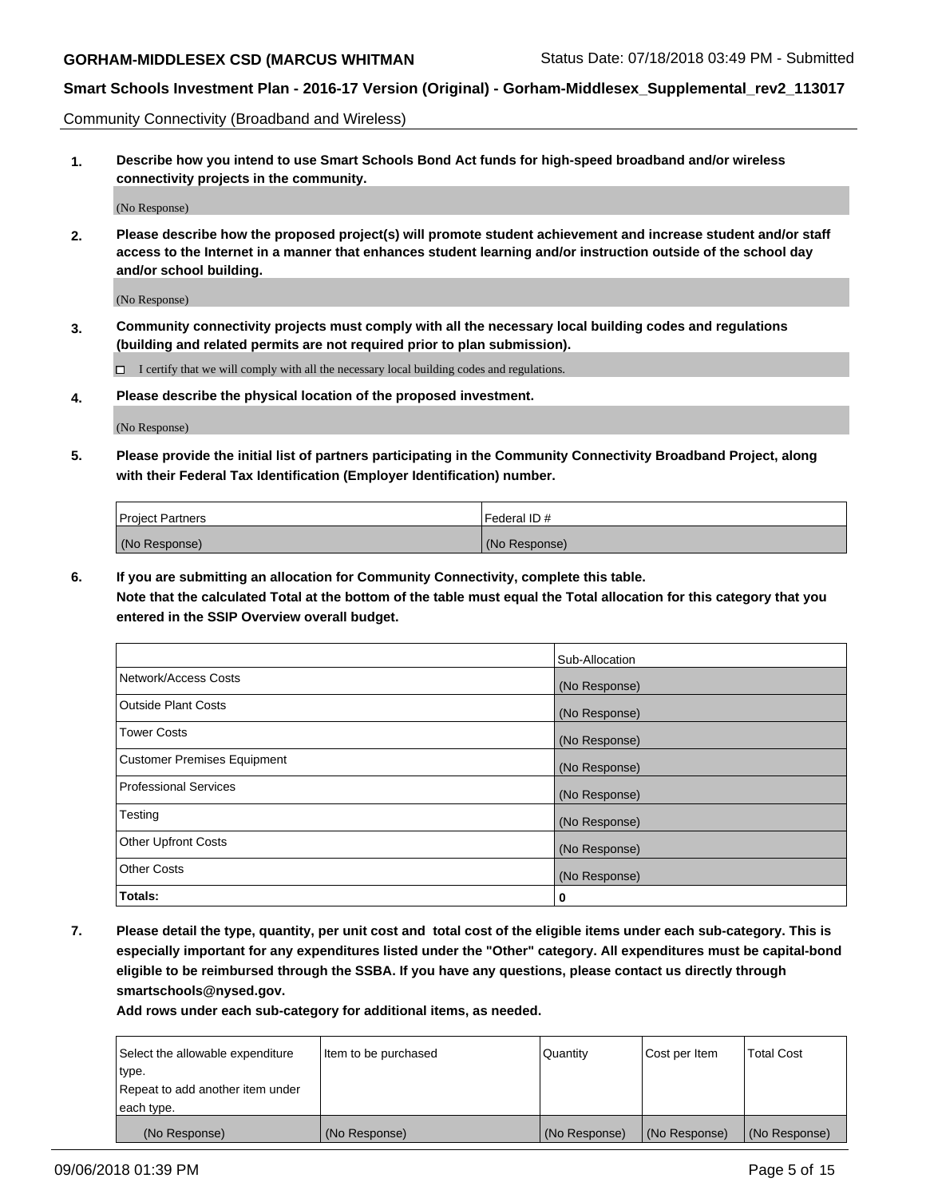Community Connectivity (Broadband and Wireless)

**1. Describe how you intend to use Smart Schools Bond Act funds for high-speed broadband and/or wireless connectivity projects in the community.**

(No Response)

**2. Please describe how the proposed project(s) will promote student achievement and increase student and/or staff access to the Internet in a manner that enhances student learning and/or instruction outside of the school day and/or school building.**

(No Response)

**3. Community connectivity projects must comply with all the necessary local building codes and regulations (building and related permits are not required prior to plan submission).**

 $\Box$  I certify that we will comply with all the necessary local building codes and regulations.

**4. Please describe the physical location of the proposed investment.**

(No Response)

**5. Please provide the initial list of partners participating in the Community Connectivity Broadband Project, along with their Federal Tax Identification (Employer Identification) number.**

| <b>Project Partners</b> | l Federal ID # |
|-------------------------|----------------|
| (No Response)           | (No Response)  |

**6. If you are submitting an allocation for Community Connectivity, complete this table.**

**Note that the calculated Total at the bottom of the table must equal the Total allocation for this category that you entered in the SSIP Overview overall budget.**

|                              | Sub-Allocation |
|------------------------------|----------------|
| Network/Access Costs         | (No Response)  |
| Outside Plant Costs          | (No Response)  |
| <b>Tower Costs</b>           | (No Response)  |
| Customer Premises Equipment  | (No Response)  |
| <b>Professional Services</b> | (No Response)  |
| Testing                      | (No Response)  |
| <b>Other Upfront Costs</b>   | (No Response)  |
| <b>Other Costs</b>           | (No Response)  |
| Totals:                      | 0              |

**7. Please detail the type, quantity, per unit cost and total cost of the eligible items under each sub-category. This is especially important for any expenditures listed under the "Other" category. All expenditures must be capital-bond eligible to be reimbursed through the SSBA. If you have any questions, please contact us directly through smartschools@nysed.gov.**

| Select the allowable expenditure | Item to be purchased | Quantity      | Cost per Item | <b>Total Cost</b> |
|----------------------------------|----------------------|---------------|---------------|-------------------|
| type.                            |                      |               |               |                   |
| Repeat to add another item under |                      |               |               |                   |
| each type.                       |                      |               |               |                   |
| (No Response)                    | (No Response)        | (No Response) | (No Response) | (No Response)     |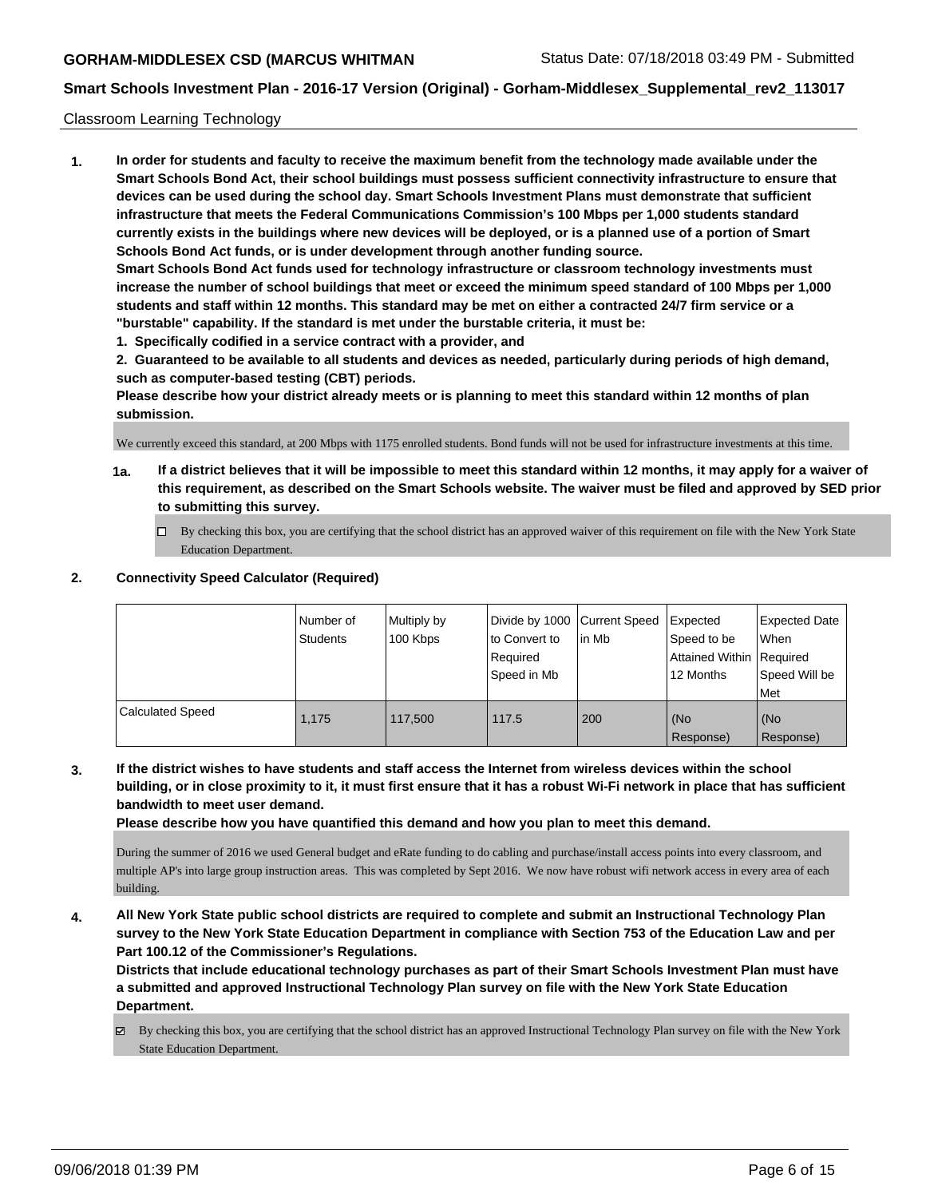#### Classroom Learning Technology

**1. In order for students and faculty to receive the maximum benefit from the technology made available under the Smart Schools Bond Act, their school buildings must possess sufficient connectivity infrastructure to ensure that devices can be used during the school day. Smart Schools Investment Plans must demonstrate that sufficient infrastructure that meets the Federal Communications Commission's 100 Mbps per 1,000 students standard currently exists in the buildings where new devices will be deployed, or is a planned use of a portion of Smart Schools Bond Act funds, or is under development through another funding source. Smart Schools Bond Act funds used for technology infrastructure or classroom technology investments must increase the number of school buildings that meet or exceed the minimum speed standard of 100 Mbps per 1,000 students and staff within 12 months. This standard may be met on either a contracted 24/7 firm service or a "burstable" capability. If the standard is met under the burstable criteria, it must be:**

**1. Specifically codified in a service contract with a provider, and**

**2. Guaranteed to be available to all students and devices as needed, particularly during periods of high demand, such as computer-based testing (CBT) periods.**

**Please describe how your district already meets or is planning to meet this standard within 12 months of plan submission.**

We currently exceed this standard, at 200 Mbps with 1175 enrolled students. Bond funds will not be used for infrastructure investments at this time.

- **1a. If a district believes that it will be impossible to meet this standard within 12 months, it may apply for a waiver of this requirement, as described on the Smart Schools website. The waiver must be filed and approved by SED prior to submitting this survey.**
	- By checking this box, you are certifying that the school district has an approved waiver of this requirement on file with the New York State Education Department.

#### **2. Connectivity Speed Calculator (Required)**

|                  | I Number of<br>Students | Multiply by<br>100 Kbps | to Convert to<br>Reauired<br>Speed in Mb | Divide by 1000 Current Speed Expected<br>lin Mb | Speed to be<br>Attained Within   Required<br>12 Months | Expected Date<br>When<br>Speed Will be<br>Met |
|------------------|-------------------------|-------------------------|------------------------------------------|-------------------------------------------------|--------------------------------------------------------|-----------------------------------------------|
| Calculated Speed | 1.175                   | 117,500                 | 117.5                                    | 200                                             | l (No<br>Response)                                     | (No<br>Response)                              |

**3. If the district wishes to have students and staff access the Internet from wireless devices within the school building, or in close proximity to it, it must first ensure that it has a robust Wi-Fi network in place that has sufficient bandwidth to meet user demand.**

**Please describe how you have quantified this demand and how you plan to meet this demand.**

During the summer of 2016 we used General budget and eRate funding to do cabling and purchase/install access points into every classroom, and multiple AP's into large group instruction areas. This was completed by Sept 2016. We now have robust wifi network access in every area of each building.

**4. All New York State public school districts are required to complete and submit an Instructional Technology Plan survey to the New York State Education Department in compliance with Section 753 of the Education Law and per Part 100.12 of the Commissioner's Regulations.**

**Districts that include educational technology purchases as part of their Smart Schools Investment Plan must have a submitted and approved Instructional Technology Plan survey on file with the New York State Education Department.**

By checking this box, you are certifying that the school district has an approved Instructional Technology Plan survey on file with the New York State Education Department.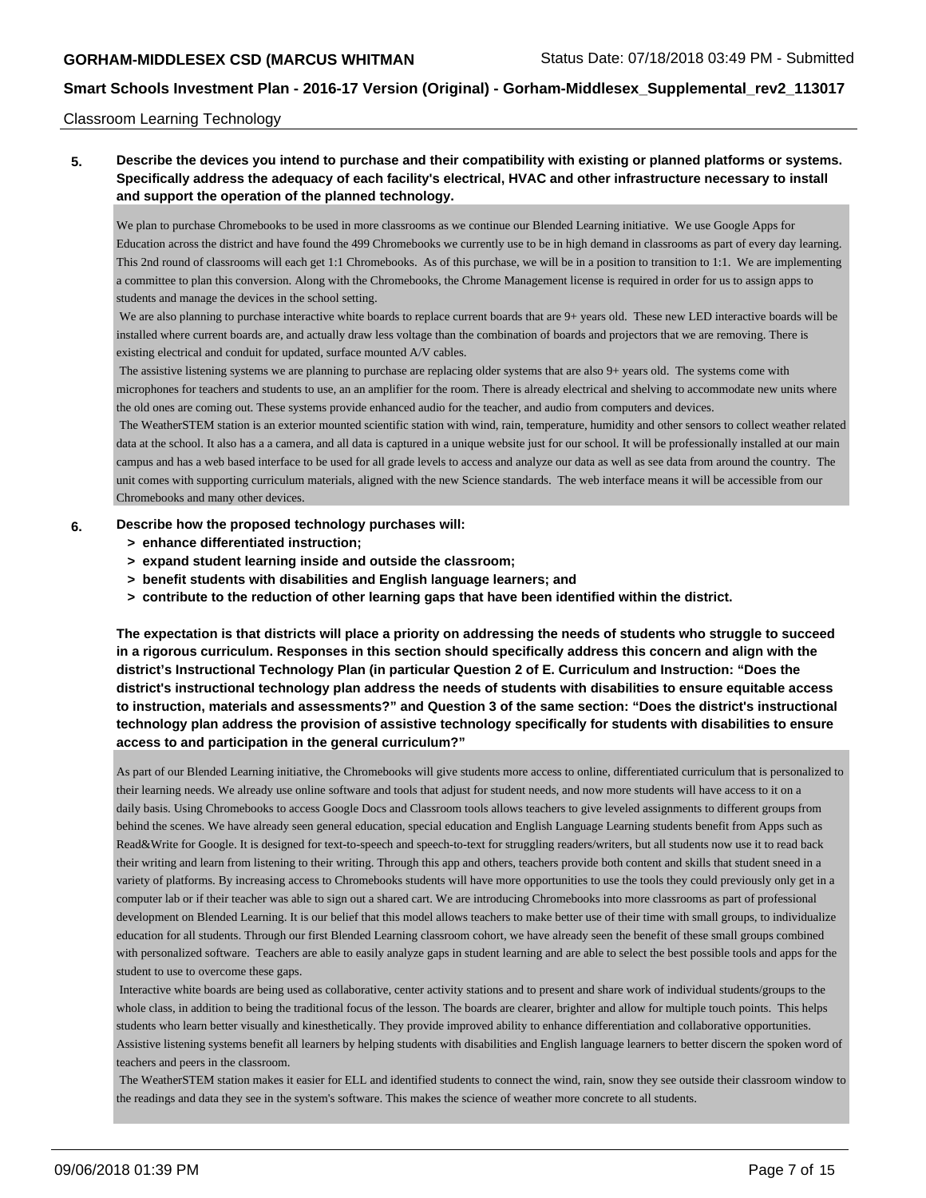#### Classroom Learning Technology

### **5. Describe the devices you intend to purchase and their compatibility with existing or planned platforms or systems. Specifically address the adequacy of each facility's electrical, HVAC and other infrastructure necessary to install and support the operation of the planned technology.**

We plan to purchase Chromebooks to be used in more classrooms as we continue our Blended Learning initiative. We use Google Apps for Education across the district and have found the 499 Chromebooks we currently use to be in high demand in classrooms as part of every day learning. This 2nd round of classrooms will each get 1:1 Chromebooks. As of this purchase, we will be in a position to transition to 1:1. We are implementing a committee to plan this conversion. Along with the Chromebooks, the Chrome Management license is required in order for us to assign apps to students and manage the devices in the school setting.

 We are also planning to purchase interactive white boards to replace current boards that are 9+ years old. These new LED interactive boards will be installed where current boards are, and actually draw less voltage than the combination of boards and projectors that we are removing. There is existing electrical and conduit for updated, surface mounted A/V cables.

The assistive listening systems we are planning to purchase are replacing older systems that are also 9+ years old. The systems come with microphones for teachers and students to use, an an amplifier for the room. There is already electrical and shelving to accommodate new units where the old ones are coming out. These systems provide enhanced audio for the teacher, and audio from computers and devices.

 The WeatherSTEM station is an exterior mounted scientific station with wind, rain, temperature, humidity and other sensors to collect weather related data at the school. It also has a a camera, and all data is captured in a unique website just for our school. It will be professionally installed at our main campus and has a web based interface to be used for all grade levels to access and analyze our data as well as see data from around the country. The unit comes with supporting curriculum materials, aligned with the new Science standards. The web interface means it will be accessible from our Chromebooks and many other devices.

#### **6. Describe how the proposed technology purchases will:**

- **> enhance differentiated instruction;**
- **> expand student learning inside and outside the classroom;**
- **> benefit students with disabilities and English language learners; and**
- **> contribute to the reduction of other learning gaps that have been identified within the district.**

**The expectation is that districts will place a priority on addressing the needs of students who struggle to succeed in a rigorous curriculum. Responses in this section should specifically address this concern and align with the district's Instructional Technology Plan (in particular Question 2 of E. Curriculum and Instruction: "Does the district's instructional technology plan address the needs of students with disabilities to ensure equitable access to instruction, materials and assessments?" and Question 3 of the same section: "Does the district's instructional technology plan address the provision of assistive technology specifically for students with disabilities to ensure access to and participation in the general curriculum?"**

As part of our Blended Learning initiative, the Chromebooks will give students more access to online, differentiated curriculum that is personalized to their learning needs. We already use online software and tools that adjust for student needs, and now more students will have access to it on a daily basis. Using Chromebooks to access Google Docs and Classroom tools allows teachers to give leveled assignments to different groups from behind the scenes. We have already seen general education, special education and English Language Learning students benefit from Apps such as Read&Write for Google. It is designed for text-to-speech and speech-to-text for struggling readers/writers, but all students now use it to read back their writing and learn from listening to their writing. Through this app and others, teachers provide both content and skills that student sneed in a variety of platforms. By increasing access to Chromebooks students will have more opportunities to use the tools they could previously only get in a computer lab or if their teacher was able to sign out a shared cart. We are introducing Chromebooks into more classrooms as part of professional development on Blended Learning. It is our belief that this model allows teachers to make better use of their time with small groups, to individualize education for all students. Through our first Blended Learning classroom cohort, we have already seen the benefit of these small groups combined with personalized software. Teachers are able to easily analyze gaps in student learning and are able to select the best possible tools and apps for the student to use to overcome these gaps.

 Interactive white boards are being used as collaborative, center activity stations and to present and share work of individual students/groups to the whole class, in addition to being the traditional focus of the lesson. The boards are clearer, brighter and allow for multiple touch points. This helps students who learn better visually and kinesthetically. They provide improved ability to enhance differentiation and collaborative opportunities. Assistive listening systems benefit all learners by helping students with disabilities and English language learners to better discern the spoken word of teachers and peers in the classroom.

 The WeatherSTEM station makes it easier for ELL and identified students to connect the wind, rain, snow they see outside their classroom window to the readings and data they see in the system's software. This makes the science of weather more concrete to all students.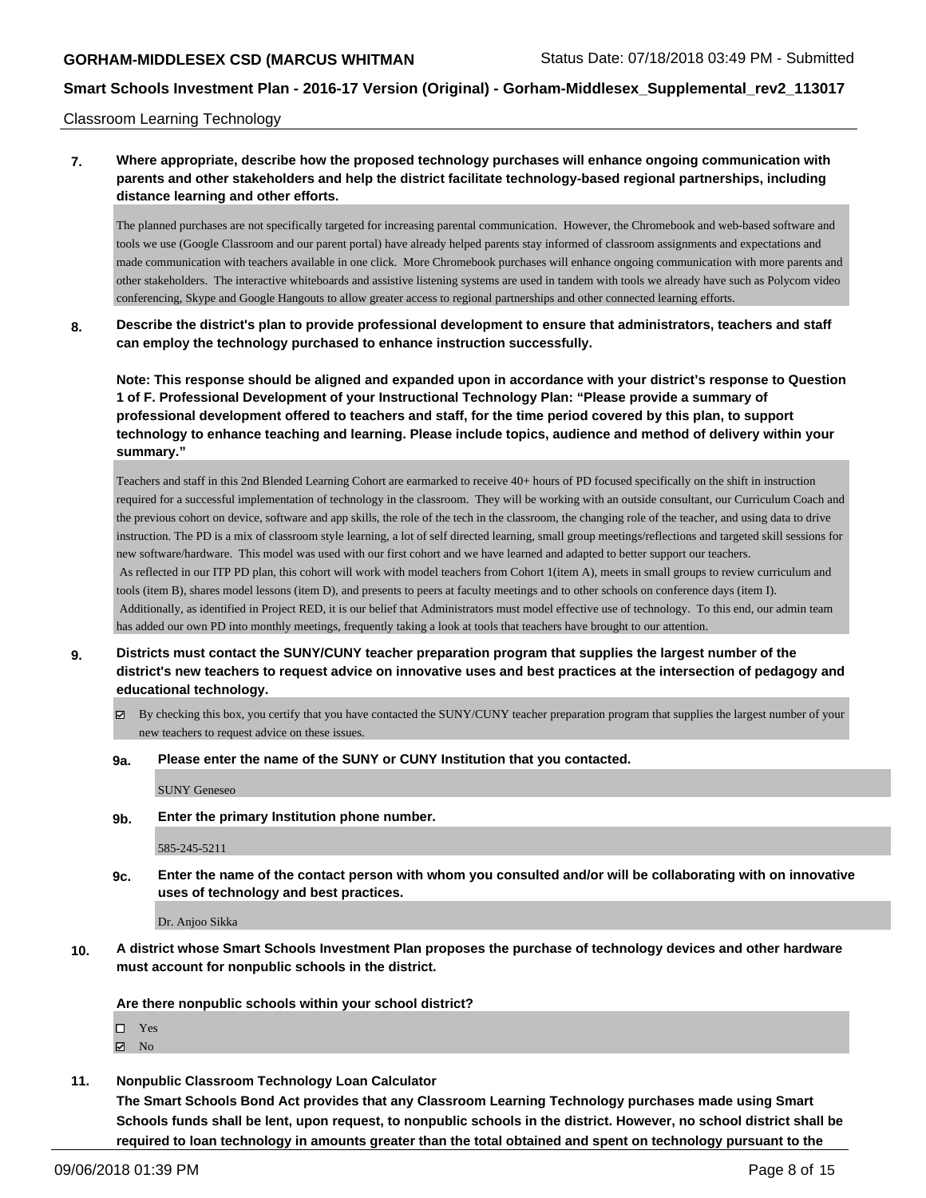Classroom Learning Technology

### **7. Where appropriate, describe how the proposed technology purchases will enhance ongoing communication with parents and other stakeholders and help the district facilitate technology-based regional partnerships, including distance learning and other efforts.**

The planned purchases are not specifically targeted for increasing parental communication. However, the Chromebook and web-based software and tools we use (Google Classroom and our parent portal) have already helped parents stay informed of classroom assignments and expectations and made communication with teachers available in one click. More Chromebook purchases will enhance ongoing communication with more parents and other stakeholders. The interactive whiteboards and assistive listening systems are used in tandem with tools we already have such as Polycom video conferencing, Skype and Google Hangouts to allow greater access to regional partnerships and other connected learning efforts.

**8. Describe the district's plan to provide professional development to ensure that administrators, teachers and staff can employ the technology purchased to enhance instruction successfully.**

**Note: This response should be aligned and expanded upon in accordance with your district's response to Question 1 of F. Professional Development of your Instructional Technology Plan: "Please provide a summary of professional development offered to teachers and staff, for the time period covered by this plan, to support technology to enhance teaching and learning. Please include topics, audience and method of delivery within your summary."**

Teachers and staff in this 2nd Blended Learning Cohort are earmarked to receive 40+ hours of PD focused specifically on the shift in instruction required for a successful implementation of technology in the classroom. They will be working with an outside consultant, our Curriculum Coach and the previous cohort on device, software and app skills, the role of the tech in the classroom, the changing role of the teacher, and using data to drive instruction. The PD is a mix of classroom style learning, a lot of self directed learning, small group meetings/reflections and targeted skill sessions for new software/hardware. This model was used with our first cohort and we have learned and adapted to better support our teachers. As reflected in our ITP PD plan, this cohort will work with model teachers from Cohort 1(item A), meets in small groups to review curriculum and tools (item B), shares model lessons (item D), and presents to peers at faculty meetings and to other schools on conference days (item I). Additionally, as identified in Project RED, it is our belief that Administrators must model effective use of technology. To this end, our admin team has added our own PD into monthly meetings, frequently taking a look at tools that teachers have brought to our attention.

- **9. Districts must contact the SUNY/CUNY teacher preparation program that supplies the largest number of the district's new teachers to request advice on innovative uses and best practices at the intersection of pedagogy and educational technology.**
	- $\boxtimes$  By checking this box, you certify that you have contacted the SUNY/CUNY teacher preparation program that supplies the largest number of your new teachers to request advice on these issues.

#### **9a. Please enter the name of the SUNY or CUNY Institution that you contacted.**

SUNY Geneseo

**9b. Enter the primary Institution phone number.**

585-245-5211

**9c. Enter the name of the contact person with whom you consulted and/or will be collaborating with on innovative uses of technology and best practices.**

Dr. Anjoo Sikka

**10. A district whose Smart Schools Investment Plan proposes the purchase of technology devices and other hardware must account for nonpublic schools in the district.**

**Are there nonpublic schools within your school district?**

- Yes
- $\boxtimes$  No
- **11. Nonpublic Classroom Technology Loan Calculator**

**The Smart Schools Bond Act provides that any Classroom Learning Technology purchases made using Smart Schools funds shall be lent, upon request, to nonpublic schools in the district. However, no school district shall be required to loan technology in amounts greater than the total obtained and spent on technology pursuant to the**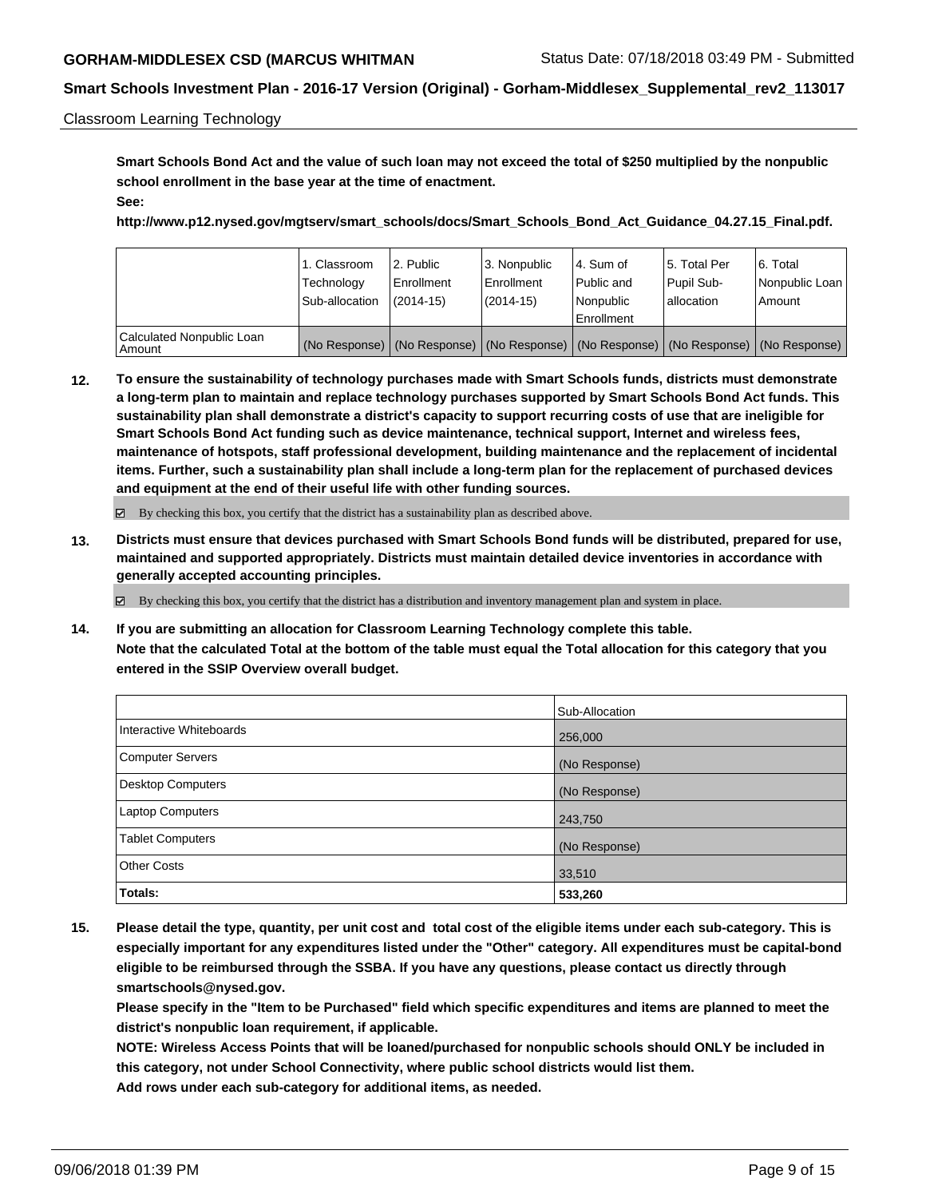#### Classroom Learning Technology

**Smart Schools Bond Act and the value of such loan may not exceed the total of \$250 multiplied by the nonpublic school enrollment in the base year at the time of enactment. See:**

**http://www.p12.nysed.gov/mgtserv/smart\_schools/docs/Smart\_Schools\_Bond\_Act\_Guidance\_04.27.15\_Final.pdf.**

|                                       | 1. Classroom<br>Technology<br>Sub-allocation | l 2. Public<br>l Enrollment<br>$(2014 - 15)$ | l 3. Nonpublic<br>Enrollment<br>(2014-15) | 4. Sum of<br>Public and<br>l Nonpublic | 15. Total Per<br>Pupil Sub-<br>allocation | 6. Total<br>Nonpublic Loan<br>Amount                                                |
|---------------------------------------|----------------------------------------------|----------------------------------------------|-------------------------------------------|----------------------------------------|-------------------------------------------|-------------------------------------------------------------------------------------|
|                                       |                                              |                                              |                                           | Enrollment                             |                                           |                                                                                     |
| Calculated Nonpublic Loan<br>  Amount |                                              |                                              |                                           |                                        |                                           | (No Response) (No Response) (No Response) (No Response) (No Response) (No Response) |

**12. To ensure the sustainability of technology purchases made with Smart Schools funds, districts must demonstrate a long-term plan to maintain and replace technology purchases supported by Smart Schools Bond Act funds. This sustainability plan shall demonstrate a district's capacity to support recurring costs of use that are ineligible for Smart Schools Bond Act funding such as device maintenance, technical support, Internet and wireless fees, maintenance of hotspots, staff professional development, building maintenance and the replacement of incidental items. Further, such a sustainability plan shall include a long-term plan for the replacement of purchased devices and equipment at the end of their useful life with other funding sources.**

By checking this box, you certify that the district has a sustainability plan as described above.

**13. Districts must ensure that devices purchased with Smart Schools Bond funds will be distributed, prepared for use, maintained and supported appropriately. Districts must maintain detailed device inventories in accordance with generally accepted accounting principles.**

By checking this box, you certify that the district has a distribution and inventory management plan and system in place.

**14. If you are submitting an allocation for Classroom Learning Technology complete this table. Note that the calculated Total at the bottom of the table must equal the Total allocation for this category that you entered in the SSIP Overview overall budget.**

|                          | Sub-Allocation |
|--------------------------|----------------|
| Interactive Whiteboards  | 256,000        |
| <b>Computer Servers</b>  | (No Response)  |
| <b>Desktop Computers</b> | (No Response)  |
| Laptop Computers         | 243,750        |
| <b>Tablet Computers</b>  | (No Response)  |
| <b>Other Costs</b>       | 33,510         |
| Totals:                  | 533,260        |

**15. Please detail the type, quantity, per unit cost and total cost of the eligible items under each sub-category. This is especially important for any expenditures listed under the "Other" category. All expenditures must be capital-bond eligible to be reimbursed through the SSBA. If you have any questions, please contact us directly through smartschools@nysed.gov.**

**Please specify in the "Item to be Purchased" field which specific expenditures and items are planned to meet the district's nonpublic loan requirement, if applicable.**

**NOTE: Wireless Access Points that will be loaned/purchased for nonpublic schools should ONLY be included in this category, not under School Connectivity, where public school districts would list them. Add rows under each sub-category for additional items, as needed.**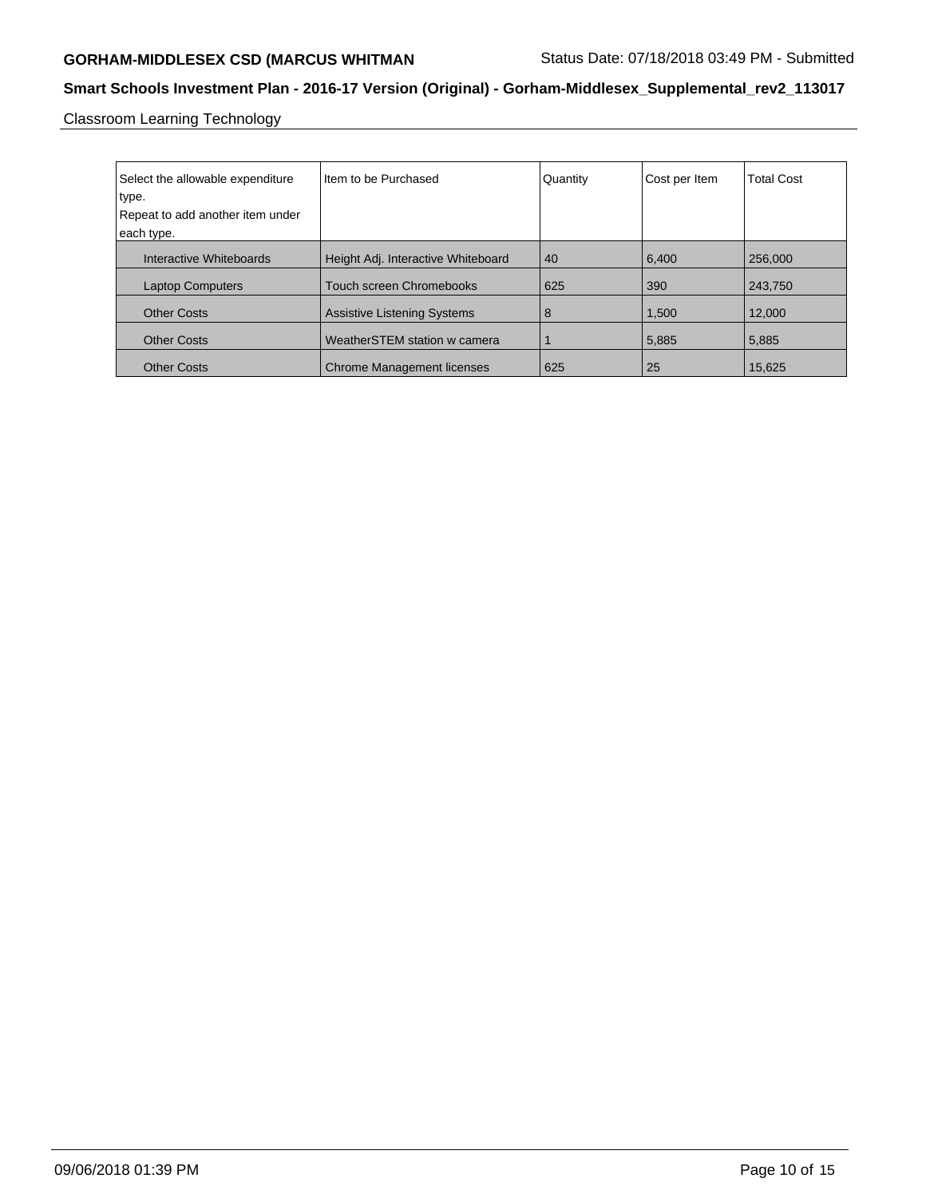# GORHAM-MIDDLESEX CSD (MARCUS WHITMAN Status Date: 07/18/2018 03:49 PM - Submitted

# **Smart Schools Investment Plan - 2016-17 Version (Original) - Gorham-Middlesex\_Supplemental\_rev2\_113017**

Classroom Learning Technology

| Select the allowable expenditure | Iltem to be Purchased              | Quantity | Cost per Item | <b>Total Cost</b> |
|----------------------------------|------------------------------------|----------|---------------|-------------------|
| type.                            |                                    |          |               |                   |
| Repeat to add another item under |                                    |          |               |                   |
| each type.                       |                                    |          |               |                   |
| Interactive Whiteboards          | Height Adj. Interactive Whiteboard | 40       | 6.400         | 256,000           |
| <b>Laptop Computers</b>          | <b>Touch screen Chromebooks</b>    | 625      | 390           | 243.750           |
| <b>Other Costs</b>               | <b>Assistive Listening Systems</b> | 8        | 1,500         | 12.000            |
| <b>Other Costs</b>               | WeatherSTEM station w camera       |          | 5,885         | 5,885             |
| <b>Other Costs</b>               | <b>Chrome Management licenses</b>  | 625      | 25            | 15,625            |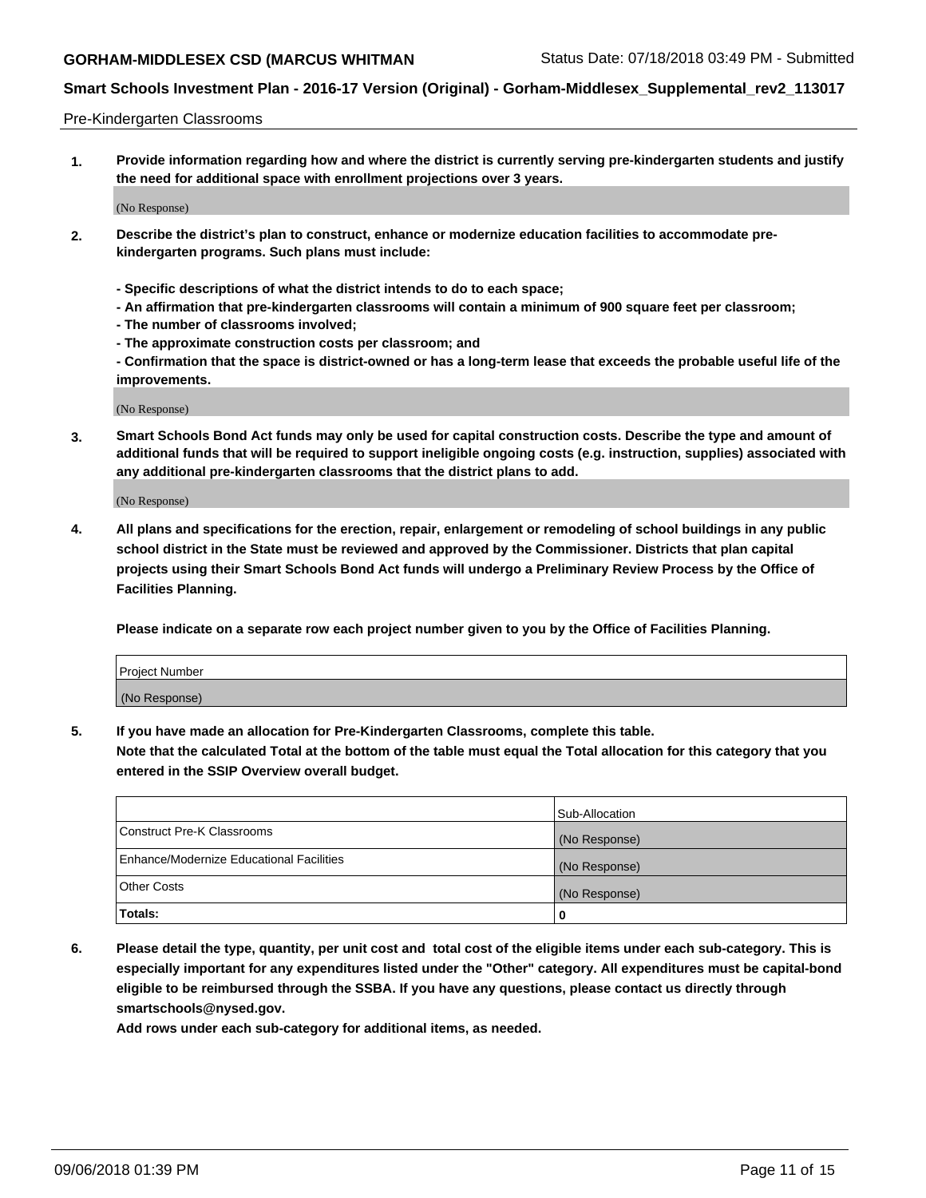#### Pre-Kindergarten Classrooms

**1. Provide information regarding how and where the district is currently serving pre-kindergarten students and justify the need for additional space with enrollment projections over 3 years.**

(No Response)

- **2. Describe the district's plan to construct, enhance or modernize education facilities to accommodate prekindergarten programs. Such plans must include:**
	- **Specific descriptions of what the district intends to do to each space;**
	- **An affirmation that pre-kindergarten classrooms will contain a minimum of 900 square feet per classroom;**
	- **The number of classrooms involved;**
	- **The approximate construction costs per classroom; and**
	- **Confirmation that the space is district-owned or has a long-term lease that exceeds the probable useful life of the improvements.**

(No Response)

**3. Smart Schools Bond Act funds may only be used for capital construction costs. Describe the type and amount of additional funds that will be required to support ineligible ongoing costs (e.g. instruction, supplies) associated with any additional pre-kindergarten classrooms that the district plans to add.**

(No Response)

**4. All plans and specifications for the erection, repair, enlargement or remodeling of school buildings in any public school district in the State must be reviewed and approved by the Commissioner. Districts that plan capital projects using their Smart Schools Bond Act funds will undergo a Preliminary Review Process by the Office of Facilities Planning.**

**Please indicate on a separate row each project number given to you by the Office of Facilities Planning.**

| Project Number |  |
|----------------|--|
| (No Response)  |  |
|                |  |

**5. If you have made an allocation for Pre-Kindergarten Classrooms, complete this table.**

**Note that the calculated Total at the bottom of the table must equal the Total allocation for this category that you entered in the SSIP Overview overall budget.**

|                                          | Sub-Allocation |
|------------------------------------------|----------------|
| Construct Pre-K Classrooms               | (No Response)  |
| Enhance/Modernize Educational Facilities | (No Response)  |
| <b>Other Costs</b>                       | (No Response)  |
| <b>Totals:</b>                           | 0              |

**6. Please detail the type, quantity, per unit cost and total cost of the eligible items under each sub-category. This is especially important for any expenditures listed under the "Other" category. All expenditures must be capital-bond eligible to be reimbursed through the SSBA. If you have any questions, please contact us directly through smartschools@nysed.gov.**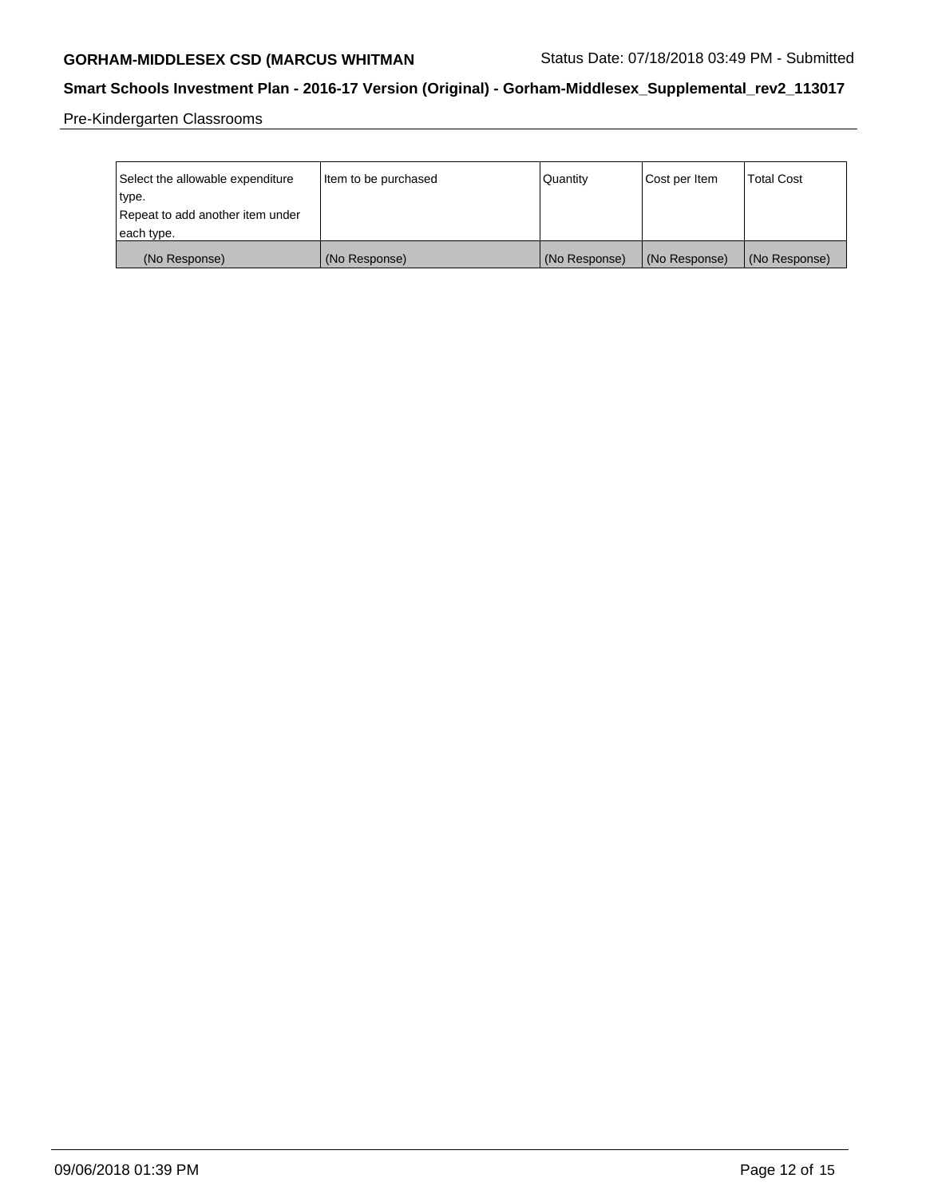# GORHAM-MIDDLESEX CSD (MARCUS WHITMAN Status Date: 07/18/2018 03:49 PM - Submitted

# **Smart Schools Investment Plan - 2016-17 Version (Original) - Gorham-Middlesex\_Supplemental\_rev2\_113017**

Pre-Kindergarten Classrooms

| Select the allowable expenditure | Item to be purchased | Quantity      | Cost per Item | <b>Total Cost</b> |
|----------------------------------|----------------------|---------------|---------------|-------------------|
| type.                            |                      |               |               |                   |
| Repeat to add another item under |                      |               |               |                   |
| each type.                       |                      |               |               |                   |
| (No Response)                    | (No Response)        | (No Response) | (No Response) | (No Response)     |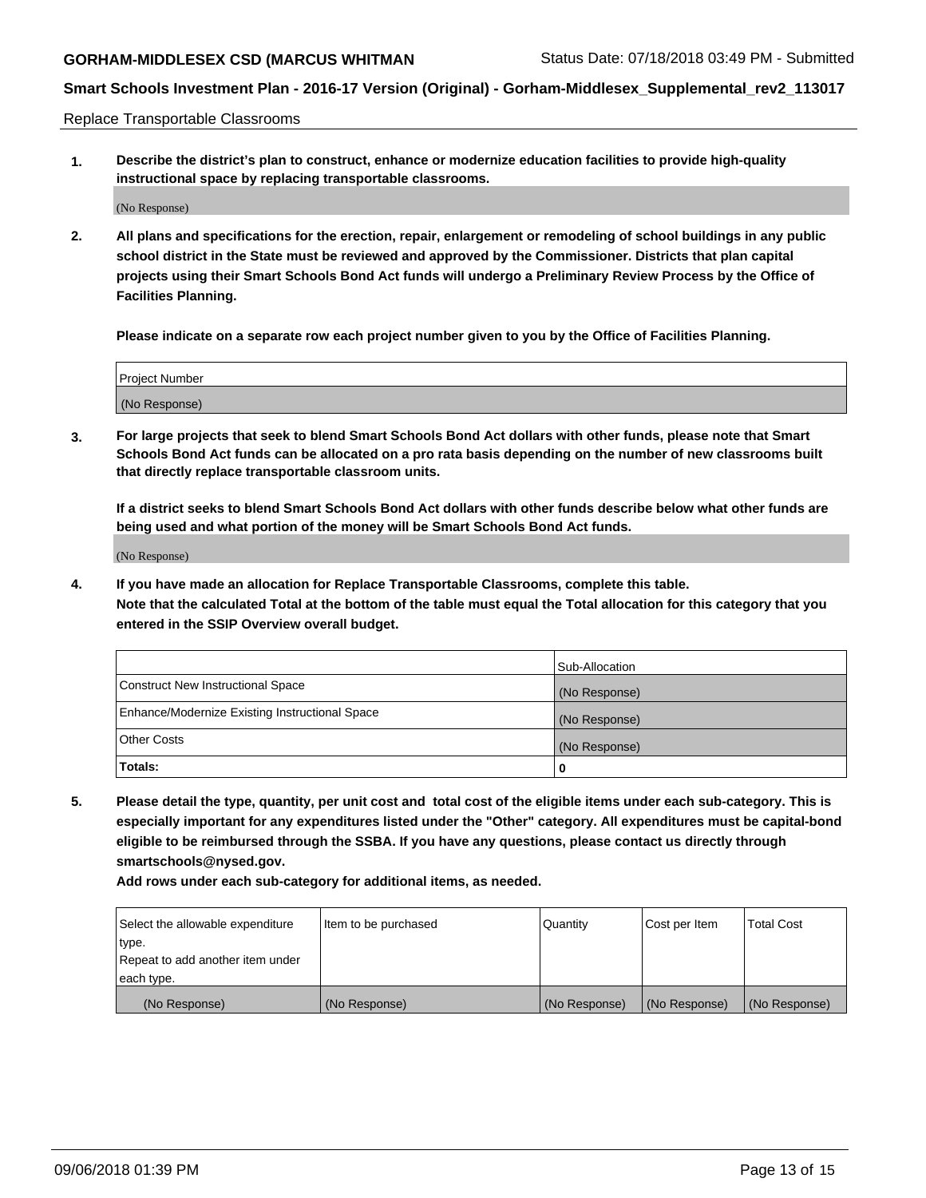Replace Transportable Classrooms

**1. Describe the district's plan to construct, enhance or modernize education facilities to provide high-quality instructional space by replacing transportable classrooms.**

(No Response)

**2. All plans and specifications for the erection, repair, enlargement or remodeling of school buildings in any public school district in the State must be reviewed and approved by the Commissioner. Districts that plan capital projects using their Smart Schools Bond Act funds will undergo a Preliminary Review Process by the Office of Facilities Planning.**

**Please indicate on a separate row each project number given to you by the Office of Facilities Planning.**

| Project Number |  |
|----------------|--|
|                |  |
|                |  |
|                |  |
|                |  |
| (No Response)  |  |
|                |  |
|                |  |
|                |  |

**3. For large projects that seek to blend Smart Schools Bond Act dollars with other funds, please note that Smart Schools Bond Act funds can be allocated on a pro rata basis depending on the number of new classrooms built that directly replace transportable classroom units.**

**If a district seeks to blend Smart Schools Bond Act dollars with other funds describe below what other funds are being used and what portion of the money will be Smart Schools Bond Act funds.**

(No Response)

**4. If you have made an allocation for Replace Transportable Classrooms, complete this table. Note that the calculated Total at the bottom of the table must equal the Total allocation for this category that you entered in the SSIP Overview overall budget.**

|                                                | Sub-Allocation |
|------------------------------------------------|----------------|
| Construct New Instructional Space              | (No Response)  |
| Enhance/Modernize Existing Instructional Space | (No Response)  |
| <b>Other Costs</b>                             | (No Response)  |
| Totals:                                        | 0              |

**5. Please detail the type, quantity, per unit cost and total cost of the eligible items under each sub-category. This is especially important for any expenditures listed under the "Other" category. All expenditures must be capital-bond eligible to be reimbursed through the SSBA. If you have any questions, please contact us directly through smartschools@nysed.gov.**

| Select the allowable expenditure | I ltem to be purchased | l Quantitv    | Cost per Item | <b>Total Cost</b> |
|----------------------------------|------------------------|---------------|---------------|-------------------|
| type.                            |                        |               |               |                   |
| Repeat to add another item under |                        |               |               |                   |
| each type.                       |                        |               |               |                   |
| (No Response)                    | (No Response)          | (No Response) | (No Response) | (No Response)     |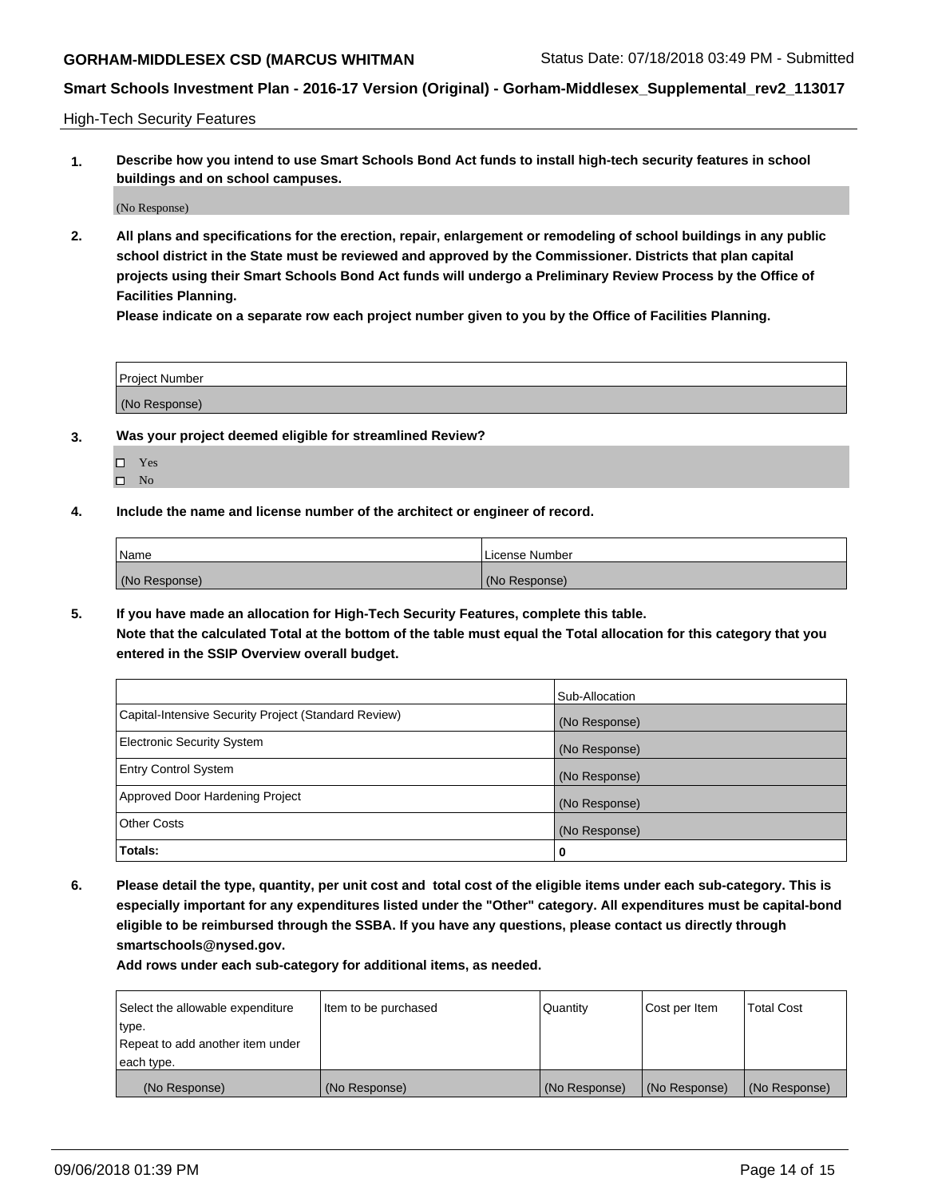High-Tech Security Features

**1. Describe how you intend to use Smart Schools Bond Act funds to install high-tech security features in school buildings and on school campuses.**

(No Response)

**2. All plans and specifications for the erection, repair, enlargement or remodeling of school buildings in any public school district in the State must be reviewed and approved by the Commissioner. Districts that plan capital projects using their Smart Schools Bond Act funds will undergo a Preliminary Review Process by the Office of Facilities Planning.** 

**Please indicate on a separate row each project number given to you by the Office of Facilities Planning.**

| <b>Project Number</b> |  |
|-----------------------|--|
| (No Response)         |  |

- **3. Was your project deemed eligible for streamlined Review?**
	- Yes  $\square$  No
- **4. Include the name and license number of the architect or engineer of record.**

| Name          | License Number |
|---------------|----------------|
| (No Response) | (No Response)  |

**5. If you have made an allocation for High-Tech Security Features, complete this table.**

**Note that the calculated Total at the bottom of the table must equal the Total allocation for this category that you entered in the SSIP Overview overall budget.**

|                                                      | Sub-Allocation |
|------------------------------------------------------|----------------|
| Capital-Intensive Security Project (Standard Review) | (No Response)  |
| <b>Electronic Security System</b>                    | (No Response)  |
| <b>Entry Control System</b>                          | (No Response)  |
| Approved Door Hardening Project                      | (No Response)  |
| <b>Other Costs</b>                                   | (No Response)  |
| Totals:                                              | 0              |

**6. Please detail the type, quantity, per unit cost and total cost of the eligible items under each sub-category. This is especially important for any expenditures listed under the "Other" category. All expenditures must be capital-bond eligible to be reimbursed through the SSBA. If you have any questions, please contact us directly through smartschools@nysed.gov.**

| Select the allowable expenditure | Item to be purchased | l Quantitv    | Cost per Item | <b>Total Cost</b> |
|----------------------------------|----------------------|---------------|---------------|-------------------|
| type.                            |                      |               |               |                   |
| Repeat to add another item under |                      |               |               |                   |
| each type.                       |                      |               |               |                   |
| (No Response)                    | (No Response)        | (No Response) | (No Response) | (No Response)     |